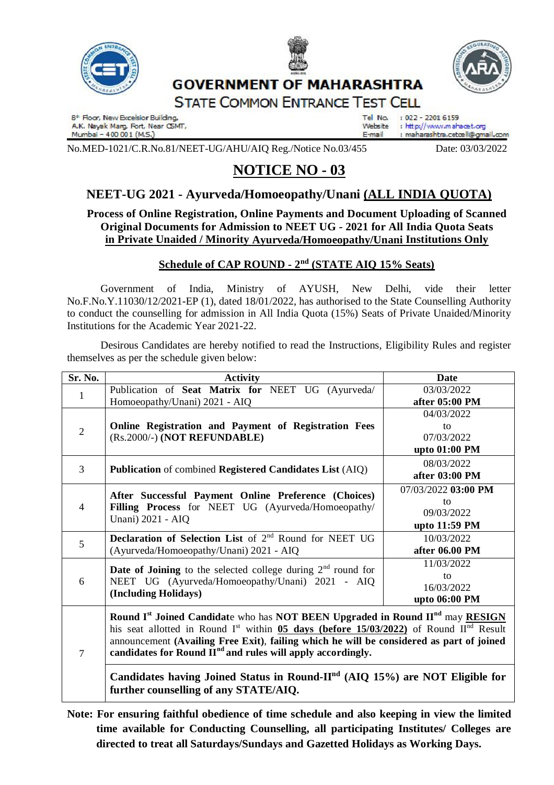



# **GOVERNMENT OF MAHARASHTRA**



**STATE COMMON ENTRANCE TEST CELL** 

8<sup>th</sup> Floor, New Excelsior Building, A.K. Nayak Marg, Fort, Near CSMT, Mumbai - 400 001 (M.S.)

Tel No.  $: 022 - 22016159$ : http://www.mahacet.org Website : maharashtra.cetœll@gmail.com E-mail

No.MED-1021/C.R.No.81/NEET-UG/AHU/AIQ Reg./Notice No.03/455 Date: 03/03/2022

# **NOTICE NO - 03**

## **NEET-UG 2021 - Ayurveda/Homoeopathy/Unani (ALL INDIA QUOTA)**

### **Process of Online Registration, Online Payments and Document Uploading of Scanned Original Documents for Admission to NEET UG - 2021 for All India Quota Seats in Private Unaided / Minority Ayurveda/Homoeopathy/Unani Institutions Only**

### **Schedule of CAP ROUND - 2 nd (STATE AIQ 15% Seats)**

Government of India, Ministry of AYUSH, New Delhi, vide their letter No.F.No.Y.11030/12/2021-EP (1), dated 18/01/2022, has authorised to the State Counselling Authority to conduct the counselling for admission in All India Quota (15%) Seats of Private Unaided/Minority Institutions for the Academic Year 2021-22.

Desirous Candidates are hereby notified to read the Instructions, Eligibility Rules and register themselves as per the schedule given below:

| Sr. No.        | <b>Activity</b>                                                                                                                                                                                                                                                                                                                                                                                       | <b>Date</b>                  |
|----------------|-------------------------------------------------------------------------------------------------------------------------------------------------------------------------------------------------------------------------------------------------------------------------------------------------------------------------------------------------------------------------------------------------------|------------------------------|
| $\mathbf{1}$   | Publication of Seat Matrix for NEET UG (Ayurveda/                                                                                                                                                                                                                                                                                                                                                     | 03/03/2022<br>after 05:00 PM |
|                | Homoeopathy/Unani) 2021 - AIQ                                                                                                                                                                                                                                                                                                                                                                         | 04/03/2022                   |
| $\overline{2}$ | Online Registration and Payment of Registration Fees<br>(Rs.2000/-) (NOT REFUNDABLE)                                                                                                                                                                                                                                                                                                                  | to                           |
|                |                                                                                                                                                                                                                                                                                                                                                                                                       | 07/03/2022                   |
|                |                                                                                                                                                                                                                                                                                                                                                                                                       | upto 01:00 PM                |
| 3              | Publication of combined Registered Candidates List (AIQ)                                                                                                                                                                                                                                                                                                                                              | 08/03/2022                   |
|                |                                                                                                                                                                                                                                                                                                                                                                                                       | after 03:00 PM               |
| $\overline{4}$ | After Successful Payment Online Preference (Choices)<br>Filling Process for NEET UG (Ayurveda/Homoeopathy/<br>Unani) 2021 - AIQ                                                                                                                                                                                                                                                                       | 07/03/2022 03:00 PM          |
|                |                                                                                                                                                                                                                                                                                                                                                                                                       | to                           |
|                |                                                                                                                                                                                                                                                                                                                                                                                                       | 09/03/2022                   |
|                |                                                                                                                                                                                                                                                                                                                                                                                                       | upto 11:59 PM                |
| 5              | Declaration of Selection List of 2 <sup>nd</sup> Round for NEET UG<br>(Ayurveda/Homoeopathy/Unani) 2021 - AIQ                                                                                                                                                                                                                                                                                         | 10/03/2022                   |
|                |                                                                                                                                                                                                                                                                                                                                                                                                       | after 06.00 PM               |
| 6              | <b>Date of Joining</b> to the selected college during $2nd$ round for<br>NEET UG (Ayurveda/Homoeopathy/Unani) 2021 - AIQ<br>(Including Holidays)                                                                                                                                                                                                                                                      | 11/03/2022                   |
|                |                                                                                                                                                                                                                                                                                                                                                                                                       | to                           |
|                |                                                                                                                                                                                                                                                                                                                                                                                                       | 16/03/2022                   |
|                |                                                                                                                                                                                                                                                                                                                                                                                                       | upto 06:00 PM                |
| 7              | Round I <sup>st</sup> Joined Candidate who has NOT BEEN Upgraded in Round II <sup>nd</sup> may RESIGN<br>his seat allotted in Round I <sup>st</sup> within <b>05 days (before 15/03/2022)</b> of Round II <sup>nd</sup> Result<br>announcement (Availing Free Exit), failing which he will be considered as part of joined<br>candidates for Round II <sup>nd</sup> and rules will apply accordingly. |                              |
|                | Candidates having Joined Status in Round- $IInd$ (AIQ 15%) are NOT Eligible for<br>further counselling of any STATE/AIQ.                                                                                                                                                                                                                                                                              |                              |

**Note: For ensuring faithful obedience of time schedule and also keeping in view the limited time available for Conducting Counselling, all participating Institutes/ Colleges are directed to treat all Saturdays/Sundays and Gazetted Holidays as Working Days.**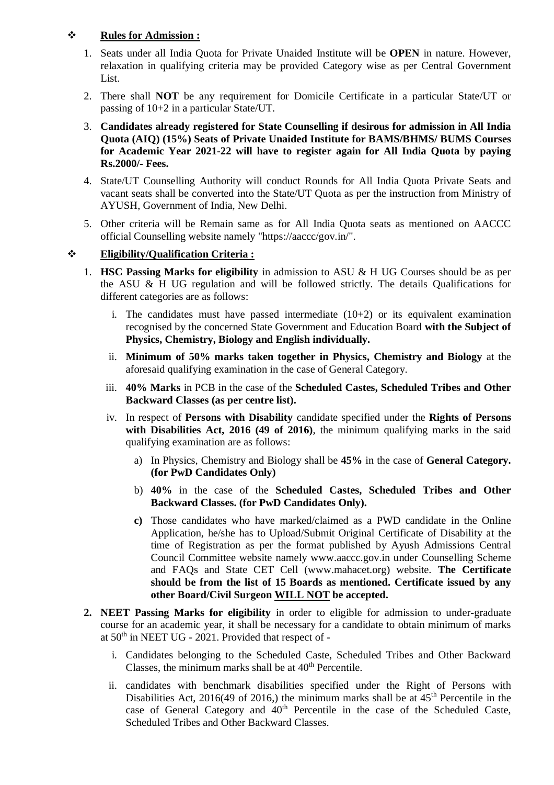#### **Rules for Admission :**

- 1. Seats under all India Quota for Private Unaided Institute will be **OPEN** in nature. However, relaxation in qualifying criteria may be provided Category wise as per Central Government List.
- 2. There shall **NOT** be any requirement for Domicile Certificate in a particular State/UT or passing of 10+2 in a particular State/UT.
- 3. **Candidates already registered for State Counselling if desirous for admission in All India Quota (AIQ) (15%) Seats of Private Unaided Institute for BAMS/BHMS/ BUMS Courses for Academic Year 2021-22 will have to register again for All India Quota by paying Rs.2000/- Fees.**
- 4. State/UT Counselling Authority will conduct Rounds for All India Quota Private Seats and vacant seats shall be converted into the State/UT Quota as per the instruction from Ministry of AYUSH, Government of India, New Delhi.
- 5. Other criteria will be Remain same as for All India Quota seats as mentioned on AACCC official Counselling website namely "https://aaccc/gov.in/".

#### **Eligibility/Qualification Criteria :**

- 1. **HSC Passing Marks for eligibility** in admission to ASU & H UG Courses should be as per the ASU & H UG regulation and will be followed strictly. The details Qualifications for different categories are as follows:
	- i. The candidates must have passed intermediate  $(10+2)$  or its equivalent examination recognised by the concerned State Government and Education Board **with the Subject of Physics, Chemistry, Biology and English individually.**
	- ii. **Minimum of 50% marks taken together in Physics, Chemistry and Biology** at the aforesaid qualifying examination in the case of General Category.
	- iii. **40% Marks** in PCB in the case of the **Scheduled Castes, Scheduled Tribes and Other Backward Classes (as per centre list).**
	- iv. In respect of **Persons with Disability** candidate specified under the **Rights of Persons with Disabilities Act, 2016 (49 of 2016)**, the minimum qualifying marks in the said qualifying examination are as follows:
		- a) In Physics, Chemistry and Biology shall be **45%** in the case of **General Category. (for PwD Candidates Only)**
		- b) **40%** in the case of the **Scheduled Castes, Scheduled Tribes and Other Backward Classes. (for PwD Candidates Only).**
		- **c)** Those candidates who have marked/claimed as a PWD candidate in the Online Application, he/she has to Upload/Submit Original Certificate of Disability at the time of Registration as per the format published by Ayush Admissions Central Council Committee website namely www.aaccc.gov.in under Counselling Scheme and FAQs and State CET Cell (www.mahacet.org) website. **The Certificate should be from the list of 15 Boards as mentioned. Certificate issued by any other Board/Civil Surgeon WILL NOT be accepted.**
- **2. NEET Passing Marks for eligibility** in order to eligible for admission to under-graduate course for an academic year, it shall be necessary for a candidate to obtain minimum of marks at 50th in NEET UG - 2021. Provided that respect of
	- i. Candidates belonging to the Scheduled Caste, Scheduled Tribes and Other Backward Classes, the minimum marks shall be at  $40<sup>th</sup>$  Percentile.
	- ii. candidates with benchmark disabilities specified under the Right of Persons with Disabilities Act, 2016(49 of 2016,) the minimum marks shall be at  $45<sup>th</sup>$  Percentile in the case of General Category and  $40<sup>th</sup>$  Percentile in the case of the Scheduled Caste, Scheduled Tribes and Other Backward Classes.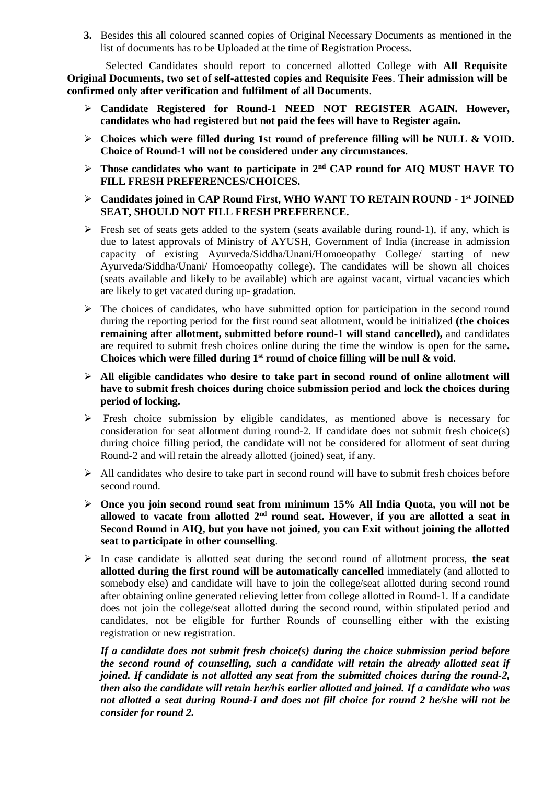**3.** Besides this all coloured scanned copies of Original Necessary Documents as mentioned in the list of documents has to be Uploaded at the time of Registration Process**.**

 Selected Candidates should report to concerned allotted College with **All Requisite Original Documents, two set of self-attested copies and Requisite Fees**. **Their admission will be confirmed only after verification and fulfilment of all Documents.** 

- **Candidate Registered for Round-1 NEED NOT REGISTER AGAIN. However, candidates who had registered but not paid the fees will have to Register again.**
- **Choices which were filled during 1st round of preference filling will be NULL & VOID. Choice of Round-1 will not be considered under any circumstances.**
- **Those candidates who want to participate in 2nd CAP round for AIQ MUST HAVE TO FILL FRESH PREFERENCES/CHOICES.**
- **Candidates joined in CAP Round First, WHO WANT TO RETAIN ROUND - 1 st JOINED SEAT, SHOULD NOT FILL FRESH PREFERENCE.**
- $\triangleright$  Fresh set of seats gets added to the system (seats available during round-1), if any, which is due to latest approvals of Ministry of AYUSH, Government of India (increase in admission capacity of existing Ayurveda/Siddha/Unani/Homoeopathy College/ starting of new Ayurveda/Siddha/Unani/ Homoeopathy college). The candidates will be shown all choices (seats available and likely to be available) which are against vacant, virtual vacancies which are likely to get vacated during up- gradation.
- $\triangleright$  The choices of candidates, who have submitted option for participation in the second round during the reporting period for the first round seat allotment, would be initialized **(the choices remaining after allotment, submitted before round-1 will stand cancelled),** and candidates are required to submit fresh choices online during the time the window is open for the same**. Choices which were filled during 1st round of choice filling will be null & void.**
- **All eligible candidates who desire to take part in second round of online allotment will have to submit fresh choices during choice submission period and lock the choices during period of locking.**
- $\triangleright$  Fresh choice submission by eligible candidates, as mentioned above is necessary for consideration for seat allotment during round-2. If candidate does not submit fresh choice(s) during choice filling period, the candidate will not be considered for allotment of seat during Round-2 and will retain the already allotted (joined) seat, if any.
- $\triangleright$  All candidates who desire to take part in second round will have to submit fresh choices before second round.
- **Once you join second round seat from minimum 15% All India Quota, you will not be allowed to vacate from allotted 2nd round seat. However, if you are allotted a seat in Second Round in AIQ, but you have not joined, you can Exit without joining the allotted seat to participate in other counselling**.
- In case candidate is allotted seat during the second round of allotment process, **the seat allotted during the first round will be automatically cancelled** immediately (and allotted to somebody else) and candidate will have to join the college/seat allotted during second round after obtaining online generated relieving letter from college allotted in Round-1. If a candidate does not join the college/seat allotted during the second round, within stipulated period and candidates, not be eligible for further Rounds of counselling either with the existing registration or new registration.

*If a candidate does not submit fresh choice(s) during the choice submission period before the second round of counselling, such a candidate will retain the already allotted seat if joined. If candidate is not allotted any seat from the submitted choices during the round-2, then also the candidate will retain her/his earlier allotted and joined. If a candidate who was not allotted a seat during Round-I and does not fill choice for round 2 he/she will not be consider for round 2.*